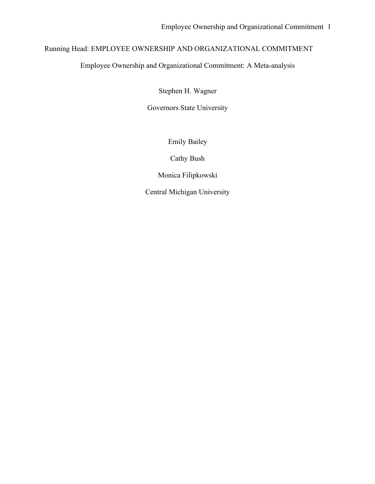# Running Head: EMPLOYEE OWNERSHIP AND ORGANIZATIONAL COMMITMENT

Employee Ownership and Organizational Commitment: A Meta-analysis

Stephen H. Wagner

Governors State University

Emily Bailey

Cathy Bush

Monica Filipkowski

Central Michigan University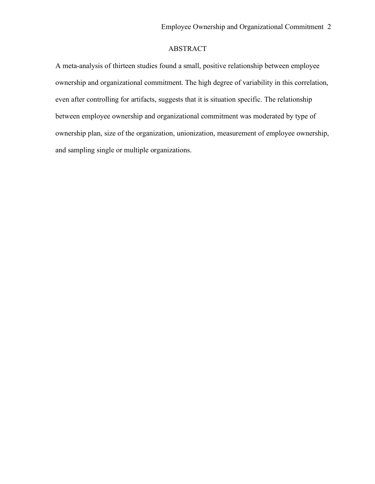## ABSTRACT

A meta-analysis of thirteen studies found a small, positive relationship between employee ownership and organizational commitment. The high degree of variability in this correlation, even after controlling for artifacts, suggests that it is situation specific. The relationship between employee ownership and organizational commitment was moderated by type of ownership plan, size of the organization, unionization, measurement of employee ownership, and sampling single or multiple organizations.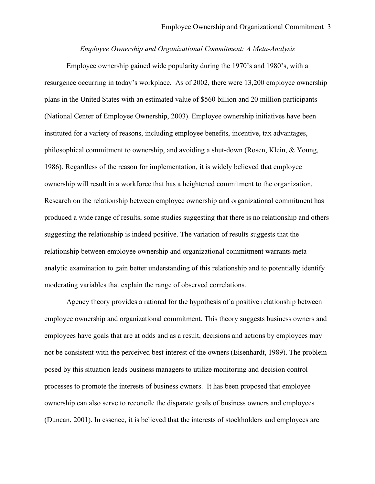#### *Employee Ownership and Organizational Commitment: A Meta-Analysis*

Employee ownership gained wide popularity during the 1970's and 1980's, with a resurgence occurring in today's workplace. As of 2002, there were 13,200 employee ownership plans in the United States with an estimated value of \$560 billion and 20 million participants (National Center of Employee Ownership, 2003). Employee ownership initiatives have been instituted for a variety of reasons, including employee benefits, incentive, tax advantages, philosophical commitment to ownership, and avoiding a shut-down (Rosen, Klein, & Young, 1986). Regardless of the reason for implementation, it is widely believed that employee ownership will result in a workforce that has a heightened commitment to the organization. Research on the relationship between employee ownership and organizational commitment has produced a wide range of results, some studies suggesting that there is no relationship and others suggesting the relationship is indeed positive. The variation of results suggests that the relationship between employee ownership and organizational commitment warrants metaanalytic examination to gain better understanding of this relationship and to potentially identify moderating variables that explain the range of observed correlations.

Agency theory provides a rational for the hypothesis of a positive relationship between employee ownership and organizational commitment. This theory suggests business owners and employees have goals that are at odds and as a result, decisions and actions by employees may not be consistent with the perceived best interest of the owners (Eisenhardt, 1989). The problem posed by this situation leads business managers to utilize monitoring and decision control processes to promote the interests of business owners. It has been proposed that employee ownership can also serve to reconcile the disparate goals of business owners and employees (Duncan, 2001). In essence, it is believed that the interests of stockholders and employees are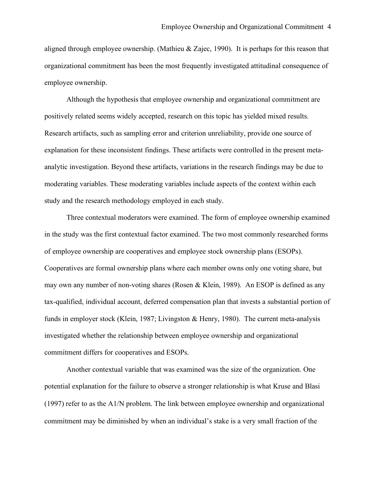aligned through employee ownership. (Mathieu & Zajec, 1990). It is perhaps for this reason that organizational commitment has been the most frequently investigated attitudinal consequence of employee ownership.

Although the hypothesis that employee ownership and organizational commitment are positively related seems widely accepted, research on this topic has yielded mixed results. Research artifacts, such as sampling error and criterion unreliability, provide one source of explanation for these inconsistent findings. These artifacts were controlled in the present metaanalytic investigation. Beyond these artifacts, variations in the research findings may be due to moderating variables. These moderating variables include aspects of the context within each study and the research methodology employed in each study.

Three contextual moderators were examined. The form of employee ownership examined in the study was the first contextual factor examined. The two most commonly researched forms of employee ownership are cooperatives and employee stock ownership plans (ESOPs). Cooperatives are formal ownership plans where each member owns only one voting share, but may own any number of non-voting shares (Rosen & Klein, 1989). An ESOP is defined as any tax-qualified, individual account, deferred compensation plan that invests a substantial portion of funds in employer stock (Klein, 1987; Livingston & Henry, 1980).The current meta-analysis investigated whether the relationship between employee ownership and organizational commitment differs for cooperatives and ESOPs.

Another contextual variable that was examined was the size of the organization. One potential explanation for the failure to observe a stronger relationship is what Kruse and Blasi (1997) refer to as the A1/N problem. The link between employee ownership and organizational commitment may be diminished by when an individual's stake is a very small fraction of the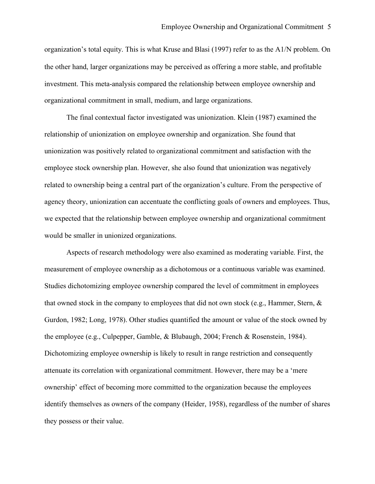organization's total equity. This is what Kruse and Blasi (1997) refer to as the A1/N problem. On the other hand, larger organizations may be perceived as offering a more stable, and profitable investment. This meta-analysis compared the relationship between employee ownership and organizational commitment in small, medium, and large organizations.

The final contextual factor investigated was unionization. Klein (1987) examined the relationship of unionization on employee ownership and organization. She found that unionization was positively related to organizational commitment and satisfaction with the employee stock ownership plan. However, she also found that unionization was negatively related to ownership being a central part of the organization's culture. From the perspective of agency theory, unionization can accentuate the conflicting goals of owners and employees. Thus, we expected that the relationship between employee ownership and organizational commitment would be smaller in unionized organizations.

Aspects of research methodology were also examined as moderating variable. First, the measurement of employee ownership as a dichotomous or a continuous variable was examined. Studies dichotomizing employee ownership compared the level of commitment in employees that owned stock in the company to employees that did not own stock (e.g., Hammer, Stern, & Gurdon, 1982; Long, 1978). Other studies quantified the amount or value of the stock owned by the employee (e.g., Culpepper, Gamble, & Blubaugh, 2004; French & Rosenstein, 1984). Dichotomizing employee ownership is likely to result in range restriction and consequently attenuate its correlation with organizational commitment. However, there may be a 'mere ownership' effect of becoming more committed to the organization because the employees identify themselves as owners of the company (Heider, 1958), regardless of the number of shares they possess or their value.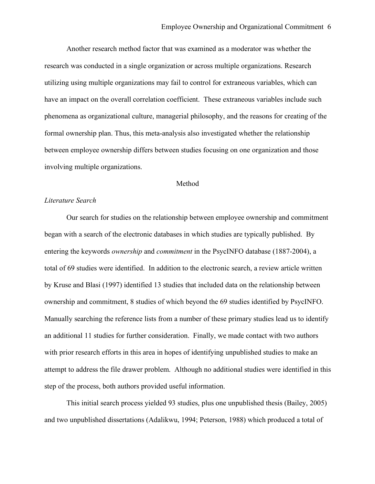Another research method factor that was examined as a moderator was whether the research was conducted in a single organization or across multiple organizations. Research utilizing using multiple organizations may fail to control for extraneous variables, which can have an impact on the overall correlation coefficient. These extraneous variables include such phenomena as organizational culture, managerial philosophy, and the reasons for creating of the formal ownership plan. Thus, this meta-analysis also investigated whether the relationship between employee ownership differs between studies focusing on one organization and those involving multiple organizations.

#### Method

#### *Literature Search*

Our search for studies on the relationship between employee ownership and commitment began with a search of the electronic databases in which studies are typically published. By entering the keywords *ownership* and *commitment* in the PsycINFO database (1887-2004), a total of 69 studies were identified. In addition to the electronic search, a review article written by Kruse and Blasi (1997) identified 13 studies that included data on the relationship between ownership and commitment, 8 studies of which beyond the 69 studies identified by PsycINFO. Manually searching the reference lists from a number of these primary studies lead us to identify an additional 11 studies for further consideration. Finally, we made contact with two authors with prior research efforts in this area in hopes of identifying unpublished studies to make an attempt to address the file drawer problem. Although no additional studies were identified in this step of the process, both authors provided useful information.

This initial search process yielded 93 studies, plus one unpublished thesis (Bailey, 2005) and two unpublished dissertations (Adalikwu, 1994; Peterson, 1988) which produced a total of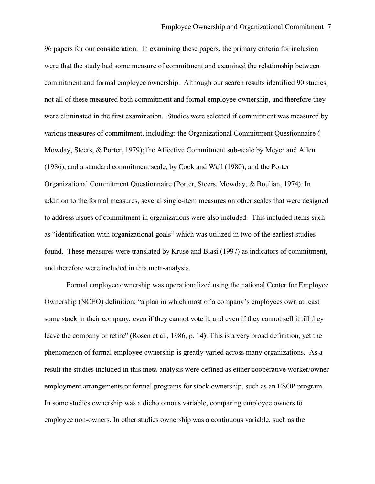96 papers for our consideration. In examining these papers, the primary criteria for inclusion were that the study had some measure of commitment and examined the relationship between commitment and formal employee ownership. Although our search results identified 90 studies, not all of these measured both commitment and formal employee ownership, and therefore they were eliminated in the first examination. Studies were selected if commitment was measured by various measures of commitment, including: the Organizational Commitment Questionnaire ( Mowday, Steers, & Porter, 1979); the Affective Commitment sub-scale by Meyer and Allen (1986), and a standard commitment scale, by Cook and Wall (1980), and the Porter Organizational Commitment Questionnaire (Porter, Steers, Mowday, & Boulian, 1974). In addition to the formal measures, several single-item measures on other scales that were designed to address issues of commitment in organizations were also included. This included items such as "identification with organizational goals" which was utilized in two of the earliest studies found. These measures were translated by Kruse and Blasi (1997) as indicators of commitment, and therefore were included in this meta-analysis.

Formal employee ownership was operationalized using the national Center for Employee Ownership (NCEO) definition: "a plan in which most of a company's employees own at least some stock in their company, even if they cannot vote it, and even if they cannot sell it till they leave the company or retire" (Rosen et al., 1986, p. 14). This is a very broad definition, yet the phenomenon of formal employee ownership is greatly varied across many organizations. As a result the studies included in this meta-analysis were defined as either cooperative worker/owner employment arrangements or formal programs for stock ownership, such as an ESOP program. In some studies ownership was a dichotomous variable, comparing employee owners to employee non-owners. In other studies ownership was a continuous variable, such as the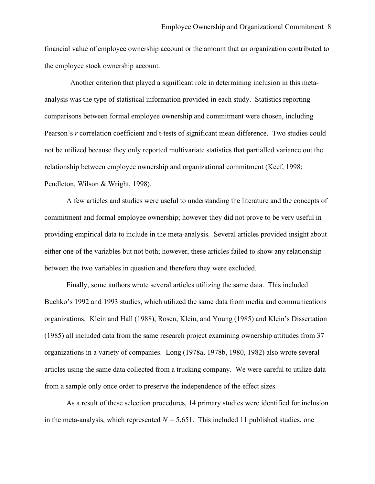financial value of employee ownership account or the amount that an organization contributed to the employee stock ownership account.

 Another criterion that played a significant role in determining inclusion in this metaanalysis was the type of statistical information provided in each study. Statistics reporting comparisons between formal employee ownership and commitment were chosen, including Pearson's *r* correlation coefficient and t-tests of significant mean difference. Two studies could not be utilized because they only reported multivariate statistics that partialled variance out the relationship between employee ownership and organizational commitment (Keef, 1998; Pendleton, Wilson & Wright, 1998).

A few articles and studies were useful to understanding the literature and the concepts of commitment and formal employee ownership; however they did not prove to be very useful in providing empirical data to include in the meta-analysis. Several articles provided insight about either one of the variables but not both; however, these articles failed to show any relationship between the two variables in question and therefore they were excluded.

Finally, some authors wrote several articles utilizing the same data. This included Buchko's 1992 and 1993 studies, which utilized the same data from media and communications organizations. Klein and Hall (1988), Rosen, Klein, and Young (1985) and Klein's Dissertation (1985) all included data from the same research project examining ownership attitudes from 37 organizations in a variety of companies. Long (1978a, 1978b, 1980, 1982) also wrote several articles using the same data collected from a trucking company. We were careful to utilize data from a sample only once order to preserve the independence of the effect sizes.

As a result of these selection procedures, 14 primary studies were identified for inclusion in the meta-analysis, which represented  $N = 5,651$ . This included 11 published studies, one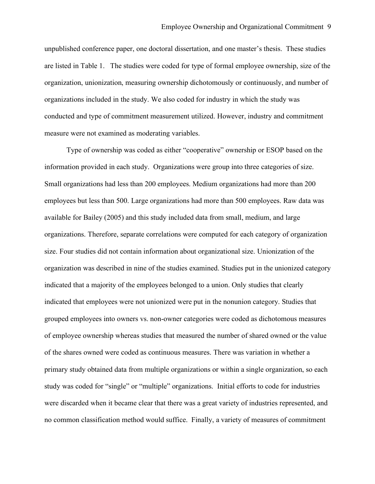unpublished conference paper, one doctoral dissertation, and one master's thesis. These studies are listed in Table 1. The studies were coded for type of formal employee ownership, size of the organization, unionization, measuring ownership dichotomously or continuously, and number of organizations included in the study. We also coded for industry in which the study was conducted and type of commitment measurement utilized. However, industry and commitment measure were not examined as moderating variables.

Type of ownership was coded as either "cooperative" ownership or ESOP based on the information provided in each study. Organizations were group into three categories of size. Small organizations had less than 200 employees. Medium organizations had more than 200 employees but less than 500. Large organizations had more than 500 employees. Raw data was available for Bailey (2005) and this study included data from small, medium, and large organizations. Therefore, separate correlations were computed for each category of organization size. Four studies did not contain information about organizational size. Unionization of the organization was described in nine of the studies examined. Studies put in the unionized category indicated that a majority of the employees belonged to a union. Only studies that clearly indicated that employees were not unionized were put in the nonunion category. Studies that grouped employees into owners vs. non-owner categories were coded as dichotomous measures of employee ownership whereas studies that measured the number of shared owned or the value of the shares owned were coded as continuous measures. There was variation in whether a primary study obtained data from multiple organizations or within a single organization, so each study was coded for "single" or "multiple" organizations. Initial efforts to code for industries were discarded when it became clear that there was a great variety of industries represented, and no common classification method would suffice. Finally, a variety of measures of commitment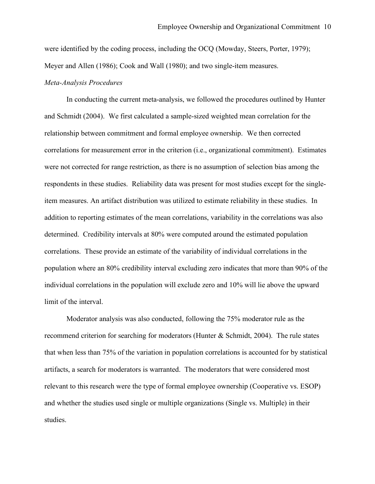were identified by the coding process, including the OCQ (Mowday, Steers, Porter, 1979); Meyer and Allen (1986); Cook and Wall (1980); and two single-item measures.

#### *Meta-Analysis Procedures*

In conducting the current meta-analysis, we followed the procedures outlined by Hunter and Schmidt (2004). We first calculated a sample-sized weighted mean correlation for the relationship between commitment and formal employee ownership. We then corrected correlations for measurement error in the criterion (i.e., organizational commitment). Estimates were not corrected for range restriction, as there is no assumption of selection bias among the respondents in these studies. Reliability data was present for most studies except for the singleitem measures. An artifact distribution was utilized to estimate reliability in these studies. In addition to reporting estimates of the mean correlations, variability in the correlations was also determined. Credibility intervals at 80% were computed around the estimated population correlations. These provide an estimate of the variability of individual correlations in the population where an 80% credibility interval excluding zero indicates that more than 90% of the individual correlations in the population will exclude zero and 10% will lie above the upward limit of the interval.

Moderator analysis was also conducted, following the 75% moderator rule as the recommend criterion for searching for moderators (Hunter & Schmidt, 2004). The rule states that when less than 75% of the variation in population correlations is accounted for by statistical artifacts, a search for moderators is warranted. The moderators that were considered most relevant to this research were the type of formal employee ownership (Cooperative vs. ESOP) and whether the studies used single or multiple organizations (Single vs. Multiple) in their studies.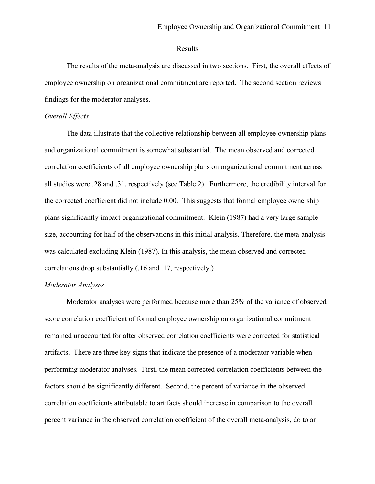### Results

The results of the meta-analysis are discussed in two sections. First, the overall effects of employee ownership on organizational commitment are reported. The second section reviews findings for the moderator analyses.

### *Overall Effects*

The data illustrate that the collective relationship between all employee ownership plans and organizational commitment is somewhat substantial. The mean observed and corrected correlation coefficients of all employee ownership plans on organizational commitment across all studies were .28 and .31, respectively (see Table 2). Furthermore, the credibility interval for the corrected coefficient did not include 0.00. This suggests that formal employee ownership plans significantly impact organizational commitment. Klein (1987) had a very large sample size, accounting for half of the observations in this initial analysis. Therefore, the meta-analysis was calculated excluding Klein (1987). In this analysis, the mean observed and corrected correlations drop substantially (.16 and .17, respectively.)

### *Moderator Analyses*

Moderator analyses were performed because more than 25% of the variance of observed score correlation coefficient of formal employee ownership on organizational commitment remained unaccounted for after observed correlation coefficients were corrected for statistical artifacts. There are three key signs that indicate the presence of a moderator variable when performing moderator analyses. First, the mean corrected correlation coefficients between the factors should be significantly different. Second, the percent of variance in the observed correlation coefficients attributable to artifacts should increase in comparison to the overall percent variance in the observed correlation coefficient of the overall meta-analysis, do to an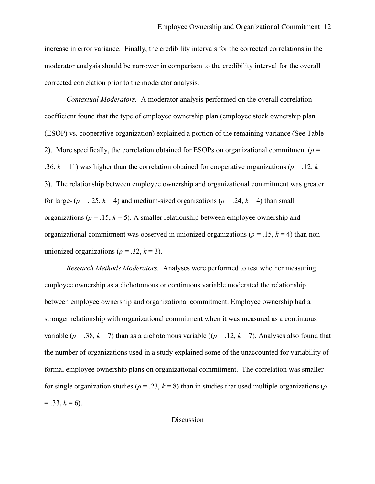increase in error variance. Finally, the credibility intervals for the corrected correlations in the moderator analysis should be narrower in comparison to the credibility interval for the overall corrected correlation prior to the moderator analysis.

*Contextual Moderators.* A moderator analysis performed on the overall correlation coefficient found that the type of employee ownership plan (employee stock ownership plan (ESOP) vs. cooperative organization) explained a portion of the remaining variance (See Table 2). More specifically, the correlation obtained for ESOPs on organizational commitment ( $\rho$  = .36,  $k = 11$ ) was higher than the correlation obtained for cooperative organizations ( $\rho = 0.12$ ,  $k = 1$ ) 3). The relationship between employee ownership and organizational commitment was greater for large- ( $\rho$  = . 25,  $k$  = 4) and medium-sized organizations ( $\rho$  = .24,  $k$  = 4) than small organizations ( $\rho = 0.15$ ,  $k = 5$ ). A smaller relationship between employee ownership and organizational commitment was observed in unionized organizations ( $\rho = 0.15$ ,  $k = 4$ ) than nonunionized organizations ( $\rho = .32, k = 3$ ).

*Research Methods Moderators.* Analyses were performed to test whether measuring employee ownership as a dichotomous or continuous variable moderated the relationship between employee ownership and organizational commitment. Employee ownership had a stronger relationship with organizational commitment when it was measured as a continuous variable ( $\rho = .38$ ,  $k = 7$ ) than as a dichotomous variable (( $\rho = .12$ ,  $k = 7$ ). Analyses also found that the number of organizations used in a study explained some of the unaccounted for variability of formal employee ownership plans on organizational commitment. The correlation was smaller for single organization studies ( $\rho = 0.23$ ,  $k = 8$ ) than in studies that used multiple organizations ( $\rho$  $= .33, k = 6$ ).

### Discussion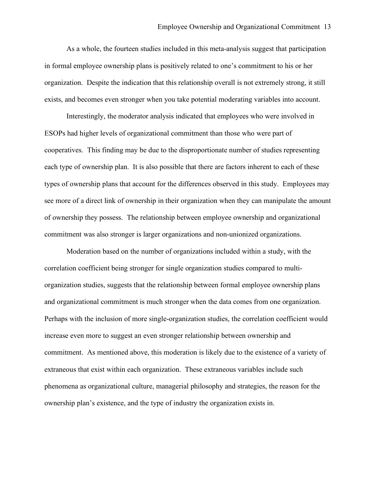As a whole, the fourteen studies included in this meta-analysis suggest that participation in formal employee ownership plans is positively related to one's commitment to his or her organization. Despite the indication that this relationship overall is not extremely strong, it still exists, and becomes even stronger when you take potential moderating variables into account.

Interestingly, the moderator analysis indicated that employees who were involved in ESOPs had higher levels of organizational commitment than those who were part of cooperatives. This finding may be due to the disproportionate number of studies representing each type of ownership plan. It is also possible that there are factors inherent to each of these types of ownership plans that account for the differences observed in this study. Employees may see more of a direct link of ownership in their organization when they can manipulate the amount of ownership they possess. The relationship between employee ownership and organizational commitment was also stronger is larger organizations and non-unionized organizations.

Moderation based on the number of organizations included within a study, with the correlation coefficient being stronger for single organization studies compared to multiorganization studies, suggests that the relationship between formal employee ownership plans and organizational commitment is much stronger when the data comes from one organization. Perhaps with the inclusion of more single-organization studies, the correlation coefficient would increase even more to suggest an even stronger relationship between ownership and commitment. As mentioned above, this moderation is likely due to the existence of a variety of extraneous that exist within each organization. These extraneous variables include such phenomena as organizational culture, managerial philosophy and strategies, the reason for the ownership plan's existence, and the type of industry the organization exists in.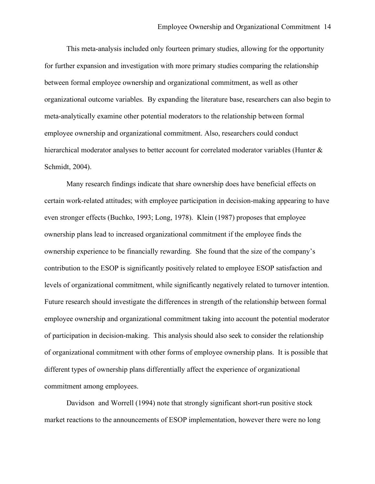This meta-analysis included only fourteen primary studies, allowing for the opportunity for further expansion and investigation with more primary studies comparing the relationship between formal employee ownership and organizational commitment, as well as other organizational outcome variables. By expanding the literature base, researchers can also begin to meta-analytically examine other potential moderators to the relationship between formal employee ownership and organizational commitment. Also, researchers could conduct hierarchical moderator analyses to better account for correlated moderator variables (Hunter  $\&$ Schmidt, 2004).

Many research findings indicate that share ownership does have beneficial effects on certain work-related attitudes; with employee participation in decision-making appearing to have even stronger effects (Buchko, 1993; Long, 1978). Klein (1987) proposes that employee ownership plans lead to increased organizational commitment if the employee finds the ownership experience to be financially rewarding. She found that the size of the company's contribution to the ESOP is significantly positively related to employee ESOP satisfaction and levels of organizational commitment, while significantly negatively related to turnover intention. Future research should investigate the differences in strength of the relationship between formal employee ownership and organizational commitment taking into account the potential moderator of participation in decision-making. This analysis should also seek to consider the relationship of organizational commitment with other forms of employee ownership plans. It is possible that different types of ownership plans differentially affect the experience of organizational commitment among employees.

Davidson and Worrell (1994) note that strongly significant short-run positive stock market reactions to the announcements of ESOP implementation, however there were no long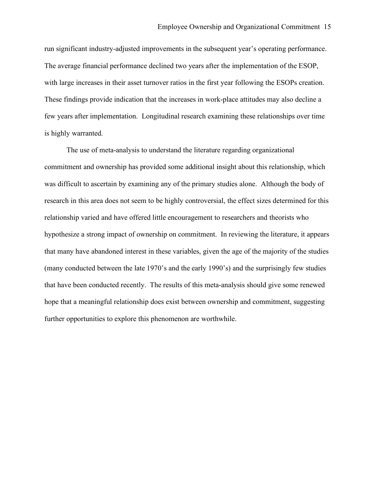run significant industry-adjusted improvements in the subsequent year's operating performance. The average financial performance declined two years after the implementation of the ESOP, with large increases in their asset turnover ratios in the first year following the ESOPs creation. These findings provide indication that the increases in work-place attitudes may also decline a few years after implementation. Longitudinal research examining these relationships over time is highly warranted.

The use of meta-analysis to understand the literature regarding organizational commitment and ownership has provided some additional insight about this relationship, which was difficult to ascertain by examining any of the primary studies alone. Although the body of research in this area does not seem to be highly controversial, the effect sizes determined for this relationship varied and have offered little encouragement to researchers and theorists who hypothesize a strong impact of ownership on commitment. In reviewing the literature, it appears that many have abandoned interest in these variables, given the age of the majority of the studies (many conducted between the late 1970's and the early 1990's) and the surprisingly few studies that have been conducted recently. The results of this meta-analysis should give some renewed hope that a meaningful relationship does exist between ownership and commitment, suggesting further opportunities to explore this phenomenon are worthwhile.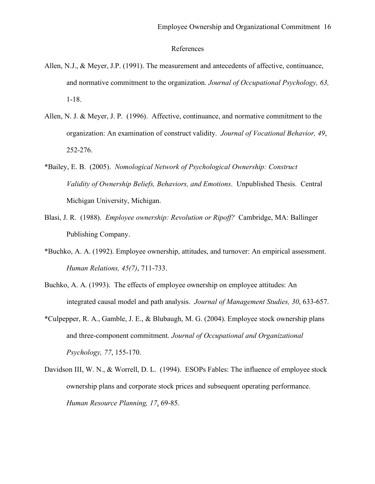### References

- Allen, N.J., & Meyer, J.P. (1991). The measurement and antecedents of affective, continuance, and normative commitment to the organization. *Journal of Occupational Psychology, 63,*  1-18.
- Allen, N. J. & Meyer, J. P. (1996). Affective, continuance, and normative commitment to the organization: An examination of construct validity. *Journal of Vocational Behavior, 49*, 252-276.
- \*Bailey, E. B. (2005). *Nomological Network of Psychological Ownership: Construct Validity of Ownership Beliefs, Behaviors, and Emotions*. Unpublished Thesis. Central Michigan University, Michigan.
- Blasi, J. R. (1988). *Employee ownership: Revolution or Ripoff?* Cambridge, MA: Ballinger Publishing Company.
- \*Buchko, A. A. (1992). Employee ownership, attitudes, and turnover: An empirical assessment. *Human Relations, 45(7)*, 711-733.
- Buchko, A. A. (1993). The effects of employee ownership on employee attitudes: An integrated causal model and path analysis. *Journal of Management Studies, 30*, 633-657.
- \*Culpepper, R. A., Gamble, J. E., & Blubaugh, M. G. (2004). Employee stock ownership plans and three-component commitment. *Journal of Occupational and Organizational Psychology, 77*, 155-170.
- Davidson III, W. N., & Worrell, D. L. (1994). ESOPs Fables: The influence of employee stock ownership plans and corporate stock prices and subsequent operating performance. *Human Resource Planning, 17*, 69-85.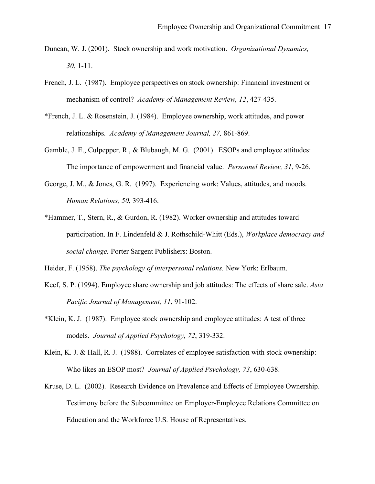- Duncan, W. J. (2001). Stock ownership and work motivation. *Organizational Dynamics, 30*, 1-11.
- French, J. L. (1987). Employee perspectives on stock ownership: Financial investment or mechanism of control? *Academy of Management Review, 12*, 427-435.
- \*French, J. L. & Rosenstein, J. (1984). Employee ownership, work attitudes, and power relationships. *Academy of Management Journal, 27,* 861-869.
- Gamble, J. E., Culpepper, R., & Blubaugh, M. G. (2001). ESOPs and employee attitudes: The importance of empowerment and financial value. *Personnel Review, 31*, 9-26.
- George, J. M., & Jones, G. R. (1997). Experiencing work: Values, attitudes, and moods. *Human Relations, 50*, 393-416.
- \*Hammer, T., Stern, R., & Gurdon, R. (1982). Worker ownership and attitudes toward participation. In F. Lindenfeld & J. Rothschild-Whitt (Eds.), *Workplace democracy and social change.* Porter Sargent Publishers: Boston.
- Heider, F. (1958). *The psychology of interpersonal relations.* New York: Erlbaum.
- Keef, S. P. (1994). Employee share ownership and job attitudes: The effects of share sale. *Asia Pacific Journal of Management, 11*, 91-102.
- \*Klein, K. J. (1987). Employee stock ownership and employee attitudes: A test of three models. *Journal of Applied Psychology, 72*, 319-332.
- Klein, K. J. & Hall, R. J. (1988). Correlates of employee satisfaction with stock ownership: Who likes an ESOP most? *Journal of Applied Psychology, 73*, 630-638.
- Kruse, D. L. (2002). Research Evidence on Prevalence and Effects of Employee Ownership. Testimony before the Subcommittee on Employer-Employee Relations Committee on Education and the Workforce U.S. House of Representatives.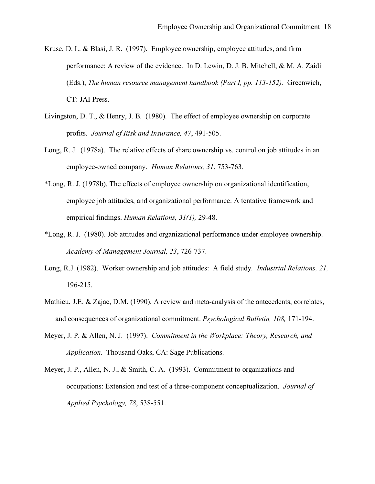- Kruse, D. L. & Blasi, J. R. (1997). Employee ownership, employee attitudes, and firm performance: A review of the evidence. In D. Lewin, D. J. B. Mitchell, & M. A. Zaidi (Eds.), *The human resource management handbook (Part I, pp. 113-152).* Greenwich, CT: JAI Press.
- Livingston, D. T., & Henry, J. B. (1980). The effect of employee ownership on corporate profits. *Journal of Risk and Insurance, 47*, 491-505.
- Long, R. J. (1978a). The relative effects of share ownership vs. control on job attitudes in an employee-owned company. *Human Relations, 31*, 753-763.
- \*Long, R. J. (1978b). The effects of employee ownership on organizational identification, employee job attitudes, and organizational performance: A tentative framework and empirical findings. *Human Relations, 31(1),* 29-48.
- \*Long, R. J. (1980). Job attitudes and organizational performance under employee ownership. *Academy of Management Journal, 23*, 726-737.
- Long, R.J. (1982). Worker ownership and job attitudes: A field study*. Industrial Relations, 21,* 196-215.
- Mathieu, J.E. & Zajac, D.M. (1990). A review and meta-analysis of the antecedents, correlates, and consequences of organizational commitment. *Psychological Bulletin, 108,* 171-194.
- Meyer, J. P. & Allen, N. J. (1997). *Commitment in the Workplace: Theory, Research, and Application.* Thousand Oaks, CA: Sage Publications.
- Meyer, J. P., Allen, N. J., & Smith, C. A. (1993). Commitment to organizations and occupations: Extension and test of a three-component conceptualization. *Journal of Applied Psychology, 78*, 538-551.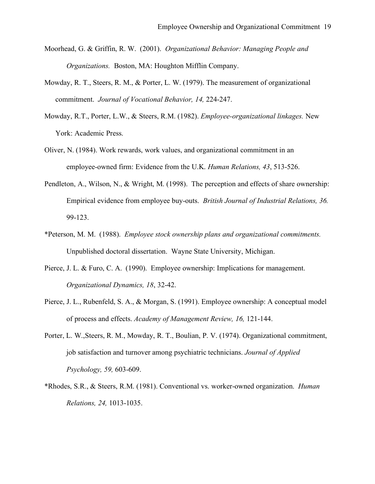- Moorhead, G. & Griffin, R. W. (2001). *Organizational Behavior: Managing People and Organizations.* Boston, MA: Houghton Mifflin Company.
- Mowday, R. T., Steers, R. M., & Porter, L. W. (1979). The measurement of organizational commitment. *Journal of Vocational Behavior, 14,* 224-247.
- Mowday, R.T., Porter, L.W., & Steers, R.M. (1982). *Employee-organizational linkages.* New York: Academic Press.
- Oliver, N. (1984). Work rewards, work values, and organizational commitment in an employee-owned firm: Evidence from the U.K. *Human Relations, 43*, 513-526.
- Pendleton, A., Wilson, N., & Wright, M. (1998). The perception and effects of share ownership: Empirical evidence from employee buy-outs. *British Journal of Industrial Relations, 36.* 99-123.
- \*Peterson, M. M. (1988). *Employee stock ownership plans and organizational commitments.*  Unpublished doctoral dissertation. Wayne State University, Michigan.
- Pierce, J. L. & Furo, C. A. (1990). Employee ownership: Implications for management. *Organizational Dynamics, 18*, 32-42.
- Pierce, J. L., Rubenfeld, S. A., & Morgan, S. (1991). Employee ownership: A conceptual model of process and effects. *Academy of Management Review, 16,* 121-144.
- Porter, L. W.,Steers, R. M., Mowday, R. T., Boulian, P. V. (1974). Organizational commitment, job satisfaction and turnover among psychiatric technicians. *Journal of Applied Psychology, 59,* 603-609.
- \*Rhodes, S.R., & Steers, R.M. (1981). Conventional vs. worker-owned organization. *Human Relations, 24,* 1013-1035.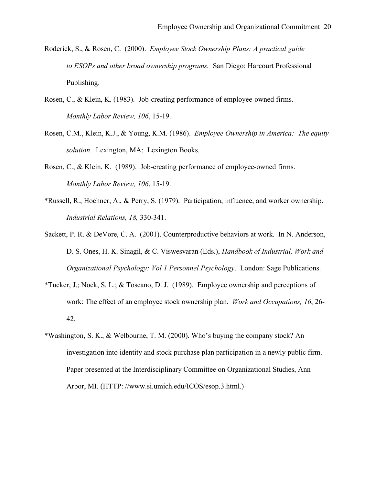- Roderick, S., & Rosen, C. (2000). *Employee Stock Ownership Plans: A practical guide to ESOPs and other broad ownership programs.* San Diego: Harcourt Professional Publishing.
- Rosen, C., & Klein, K. (1983). Job-creating performance of employee-owned firms. *Monthly Labor Review, 106*, 15-19.
- Rosen, C.M., Klein, K.J., & Young, K.M. (1986). *Employee Ownership in America: The equity solution*. Lexington, MA: Lexington Books.
- Rosen, C., & Klein, K. (1989). Job-creating performance of employee-owned firms. *Monthly Labor Review, 106*, 15-19.
- \*Russell, R., Hochner, A., & Perry, S. (1979). Participation, influence, and worker ownership. *Industrial Relations, 18,* 330-341.
- Sackett, P. R. & DeVore, C. A. (2001). Counterproductive behaviors at work. In N. Anderson, D. S. Ones, H. K. Sinagil, & C. Viswesvaran (Eds.), *Handbook of Industrial, Work and Organizational Psychology: Vol 1 Personnel Psychology*. London: Sage Publications.
- \*Tucker, J.; Nock, S. L.; & Toscano, D. J. (1989). Employee ownership and perceptions of work: The effect of an employee stock ownership plan. *Work and Occupations, 16*, 26- 42.
- \*Washington, S. K., & Welbourne, T. M. (2000). Who's buying the company stock? An investigation into identity and stock purchase plan participation in a newly public firm. Paper presented at the Interdisciplinary Committee on Organizational Studies, Ann Arbor, MI. (HTTP: //www.si.umich.edu/ICOS/esop.3.html.)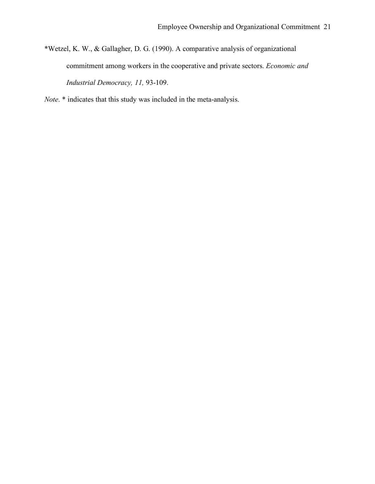- \*Wetzel, K. W., & Gallagher, D. G. (1990). A comparative analysis of organizational commitment among workers in the cooperative and private sectors. *Economic and Industrial Democracy, 11,* 93-109.
- *Note*. \* indicates that this study was included in the meta-analysis.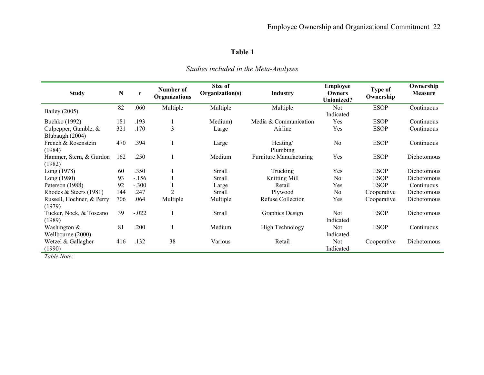# **Table 1**

| <b>Study</b>                              | ${\bf N}$ | r       | Number of<br><b>Organizations</b> | Size of<br>Organization(s) | <b>Industry</b>                | <b>Employee</b><br>Type of<br>Owners<br>Ownership<br><b>Unionized?</b> |             | Ownership<br><b>Measure</b> |
|-------------------------------------------|-----------|---------|-----------------------------------|----------------------------|--------------------------------|------------------------------------------------------------------------|-------------|-----------------------------|
| Bailey (2005)                             | 82        | .060    | Multiple                          | Multiple                   | Multiple                       | Not<br>Indicated                                                       | <b>ESOP</b> | Continuous                  |
| Buchko (1992)                             | 181       | .193    |                                   | Medium)                    | Media & Communication          | Yes                                                                    | <b>ESOP</b> | Continuous                  |
| Culpepper, Gamble, $&$<br>Blubaugh (2004) | 321       | .170    | 3                                 | Large                      | Airline                        | Yes                                                                    | <b>ESOP</b> | Continuous                  |
| French & Rosenstein<br>(1984)             | 470       | .394    |                                   | Large                      | Heating/<br>Plumbing           | N <sub>0</sub>                                                         | <b>ESOP</b> | Continuous                  |
| Hammer, Stern, & Gurdon<br>(1982)         | 162       | .250    |                                   | Medium                     | <b>Furniture Manufacturing</b> | Yes                                                                    | <b>ESOP</b> | Dichotomous                 |
| Long (1978)                               | 60        | .350    |                                   | Small                      | Trucking                       | Yes                                                                    | <b>ESOP</b> | Dichotomous                 |
| Long (1980)                               | 93        | $-.156$ |                                   | Small                      | Knitting Mill                  | N <sub>0</sub>                                                         | <b>ESOP</b> | Dichotomous                 |
| Peterson (1988)                           | 92        | $-.300$ |                                   | Large                      | Retail                         | Yes                                                                    | <b>ESOP</b> | Continuous                  |
| Rhodes & Steers (1981)                    | 144       | .247    | $\overline{2}$                    | Small                      | Plywood                        | N <sub>0</sub>                                                         | Cooperative | Dichotomous                 |
| Russell, Hochner, & Perry<br>(1979)       | 706       | .064    | Multiple                          | Multiple                   | <b>Refuse Collection</b>       | Yes                                                                    | Cooperative | Dichotomous                 |
| Tucker, Nock, & Toscano<br>(1989)         | 39        | $-.022$ |                                   | Small                      | Graphics Design                | <b>Not</b><br>Indicated                                                | <b>ESOP</b> | Dichotomous                 |
| Washington &<br>Wellbourne (2000)         | 81        | .200    |                                   | Medium                     | <b>High Technology</b>         | <b>Not</b><br>Indicated                                                | <b>ESOP</b> | Continuous                  |
| Wetzel & Gallagher<br>(1990)              | 416       | .132    | 38                                | Various                    | Retail                         | Not<br>Indicated                                                       | Cooperative | Dichotomous                 |

*Studies included in the Meta-Analyses*

*Table Note:*